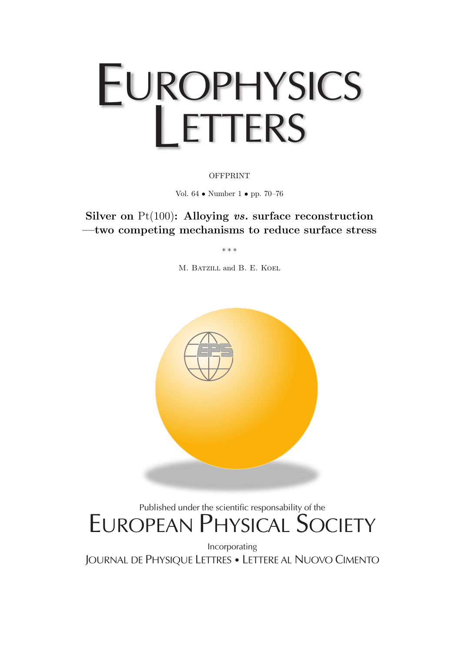## EUROPHYSICS LETTERS

**OFFPRINT** 

Vol. 64 • Number 1 • pp. 70–76

**Silver on** Pt(100)**: Alloying** *vs.* **surface reconstruction —two competing mechanisms to reduce surface stress**

∗∗∗

M. BATZILL and B. E. KOEL



## Published under the scientific responsability of the EUROPEAN PHYSICAL SOCIETY

Incorporating JOURNAL DE PHYSIQUE LETTRES • LETTERE AL NUOVO CIMENTO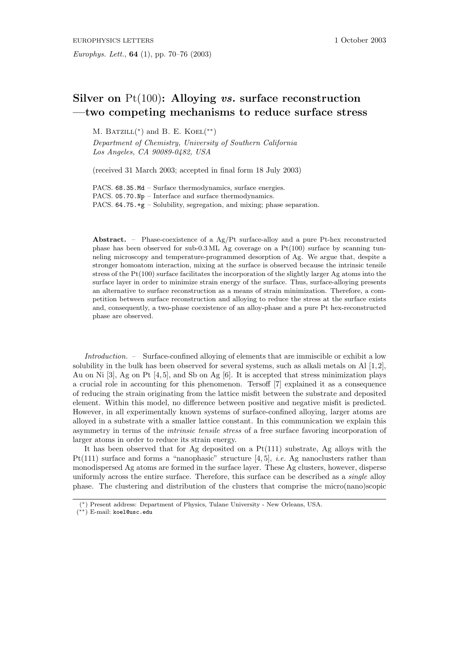## **Silver on** Pt(100)**: Alloying** *vs.* **surface reconstruction —two competing mechanisms to reduce surface stress**

M. BATZILL( $*$ ) and B. E. KOEL( $**$ )

*Department of Chemistry, University of Southern California Los Angeles, CA 90089-0482, USA*

(received 31 March 2003; accepted in final form 18 July 2003)

PACS. 68.35.Md – Surface thermodynamics, surface energies. PACS. 05.70.Np – Interface and surface thermodynamics. PACS. 64.75.+g – Solubility, segregation, and mixing; phase separation.

Abstract. – Phase-coexistence of a Ag/Pt surface-alloy and a pure Pt-hex reconstructed phase has been observed for sub-0.3 ML Ag coverage on a Pt(100) surface by scanning tunneling microscopy and temperature-programmed desorption of Ag. We argue that, despite a stronger homoatom interaction, mixing at the surface is observed because the intrinsic tensile stress of the  $Pt(100)$  surface facilitates the incorporation of the slightly larger Ag atoms into the surface layer in order to minimize strain energy of the surface. Thus, surface-alloying presents an alternative to surface reconstruction as a means of strain minimization. Therefore, a competition between surface reconstruction and alloying to reduce the stress at the surface exists and, consequently, a two-phase coexistence of an alloy-phase and a pure Pt hex-reconstructed phase are observed.

*Introduction. –* Surface-confined alloying of elements that are immiscible or exhibit a low solubility in the bulk has been observed for several systems, such as alkali metals on Al  $[1, 2]$ , Au on Ni [3], Ag on Pt [4, 5], and Sb on Ag [6]. It is accepted that stress minimization plays a crucial role in accounting for this phenomenon. Tersoff [7] explained it as a consequence of reducing the strain originating from the lattice misfit between the substrate and deposited element. Within this model, no difference between positive and negative misfit is predicted. However, in all experimentally known systems of surface-confined alloying, larger atoms are alloyed in a substrate with a smaller lattice constant. In this communication we explain this asymmetry in terms of the *intrinsic tensile stress* of a free surface favoring incorporation of larger atoms in order to reduce its strain energy.

It has been observed that for Ag deposited on a  $Pt(111)$  substrate, Ag alloys with the Pt(111) surface and forms a "nanophasic" structure [4, 5], *i.e.* Ag nanoclusters rather than monodispersed Ag atoms are formed in the surface layer. These Ag clusters, however, disperse uniformly across the entire surface. Therefore, this surface can be described as a *single* alloy phase. The clustering and distribution of the clusters that comprise the micro(nano)scopic

<sup>(\*)</sup> Present address: Department of Physics, Tulane University - New Orleans, USA.

<sup>(</sup>∗∗) E-mail: koel@usc.edu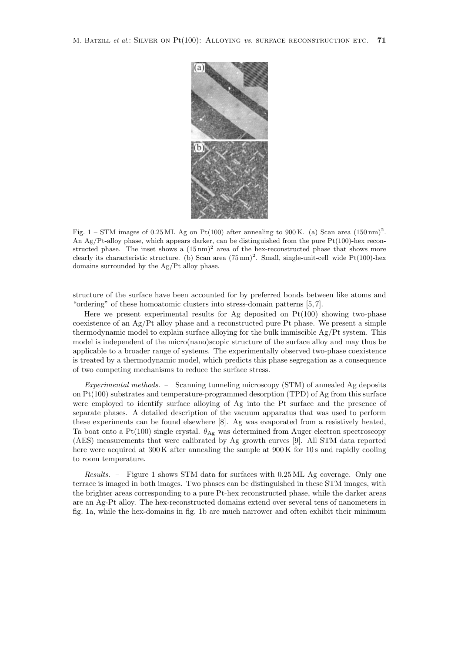

Fig. 1 – STM images of 0.25 ML Ag on Pt(100) after annealing to 900 K. (a) Scan area  $(150 \text{ nm})^2$ . An Ag/Pt-alloy phase, which appears darker, can be distinguished from the pure Pt(100)-hex reconstructed phase. The inset shows a  $(15 \text{ nm})^2$  area of the hex-reconstructed phase that shows more clearly its characteristic structure. (b) Scan area  $(75 \text{ nm})^2$ . Small, single-unit-cell–wide Pt(100)-hex domains surrounded by the Ag/Pt alloy phase.

structure of the surface have been accounted for by preferred bonds between like atoms and "ordering" of these homoatomic clusters into stress-domain patterns  $[5, 7]$ .

Here we present experimental results for Ag deposited on  $Pt(100)$  showing two-phase coexistence of an Ag/Pt alloy phase and a reconstructed pure Pt phase. We present a simple thermodynamic model to explain surface alloying for the bulk immiscible  $Ag/Pt$  system. This model is independent of the micro(nano)scopic structure of the surface alloy and may thus be applicable to a broader range of systems. The experimentally observed two-phase coexistence is treated by a thermodynamic model, which predicts this phase segregation as a consequence of two competing mechanisms to reduce the surface stress.

*Experimental methods. –* Scanning tunneling microscopy (STM) of annealed Ag deposits on Pt(100) substrates and temperature-programmed desorption (TPD) of Ag from this surface were employed to identify surface alloying of Ag into the Pt surface and the presence of separate phases. A detailed description of the vacuum apparatus that was used to perform these experiments can be found elsewhere [8]. Ag was evaporated from a resistively heated, Ta boat onto a Pt(100) single crystal.  $\theta_{\text{Ag}}$  was determined from Auger electron spectroscopy (AES) measurements that were calibrated by Ag growth curves [9]. All STM data reported here were acquired at  $300 \text{ K}$  after annealing the sample at  $900 \text{ K}$  for 10s and rapidly cooling to room temperature.

*Results. –* Figure 1 shows STM data for surfaces with 0.25 ML Ag coverage. Only one terrace is imaged in both images. Two phases can be distinguished in these STM images, with the brighter areas corresponding to a pure Pt-hex reconstructed phase, while the darker areas are an Ag-Pt alloy. The hex-reconstructed domains extend over several tens of nanometers in fig. 1a, while the hex-domains in fig. 1b are much narrower and often exhibit their minimum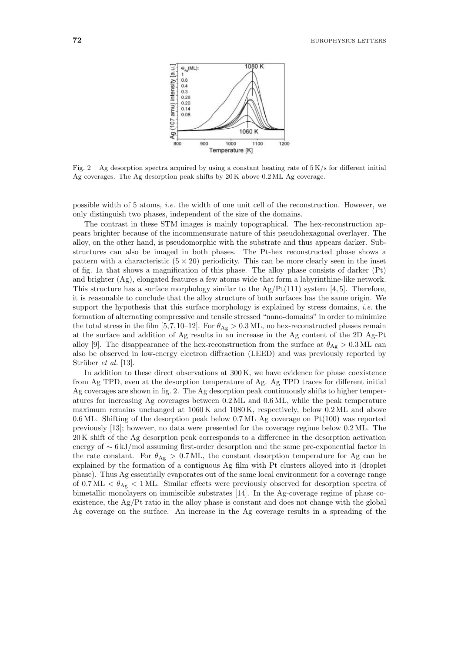

Fig.  $2 - Ag$  desorption spectra acquired by using a constant heating rate of  $5 \text{ K/s}$  for different initial Ag coverages. The Ag desorption peak shifts by 20K above 0.2 ML Ag coverage.

possible width of 5 atoms, *i.e.* the width of one unit cell of the reconstruction. However, we only distinguish two phases, independent of the size of the domains.

The contrast in these STM images is mainly topographical. The hex-reconstruction appears brighter because of the incommensurate nature of this pseudohexagonal overlayer. The alloy, on the other hand, is pseudomorphicwith the substrate and thus appears darker. Substructures can also be imaged in both phases. The Pt-hex reconstructed phase shows a pattern with a characteristic  $(5 \times 20)$  periodicity. This can be more clearly seen in the inset of fig. 1a that shows a magnification of this phase. The alloy phase consists of darker (Pt) and brighter (Ag), elongated features a few atoms wide that form a labyrinthine-like network. This structure has a surface morphology similar to the  $Ag/Pt(111)$  system [4, 5]. Therefore, it is reasonable to conclude that the alloy structure of both surfaces has the same origin. We support the hypothesis that this surface morphology is explained by stress domains, *i.e.* the formation of alternating compressive and tensile stressed "nano-domains" in order to minimize the total stress in the film [5,7,10–12]. For  $\theta_{\text{Ag}} > 0.3 \text{ ML}$ , no hex-reconstructed phases remain at the surface and addition of Ag results in an increase in the Ag content of the 2D Ag-Pt alloy [9]. The disappearance of the hex-reconstruction from the surface at  $\theta_{Ag} > 0.3$  ML can also be observed in low-energy electron diffraction (LEED) and was previously reported by Strüber *et al.* [13].

In addition to these direct observations at  $300 \text{ K}$ , we have evidence for phase coexistence from Ag TPD, even at the desorption temperature of Ag. Ag TPD traces for different initial Ag coverages are shown in fig. 2. The Ag desorption peak continuously shifts to higher temperatures for increasing Ag coverages between 0.2 ML and 0.6 ML, while the peak temperature maximum remains unchanged at 1060 K and 1080 K, respectively, below 0.2 ML and above 0.6 ML. Shifting of the desorption peak below 0.7 ML Ag coverage on Pt(100) was reported previously [13]; however, no data were presented for the coverage regime below 0.2 ML. The 20 K shift of the Ag desorption peak corresponds to a difference in the desorption activation energy of ∼ 6 kJ/mol assuming first-order desorption and the same pre-exponential factor in the rate constant. For  $\theta_{\text{Ag}} > 0.7 \text{ ML}$ , the constant desorption temperature for Ag can be explained by the formation of a contiguous Ag film with Pt clusters alloyed into it (droplet phase). Thus Ag essentially evaporates out of the same local environment for a coverage range of  $0.7 \text{ ML} < \theta_{\text{Ag}} < 1 \text{ ML}$ . Similar effects were previously observed for desorption spectra of bimetallic monolayers on immiscible substrates [14]. In the Ag-coverage regime of phase coexistence, the Ag/Pt ratio in the alloy phase is constant and does not change with the global Ag coverage on the surface. An increase in the Ag coverage results in a spreading of the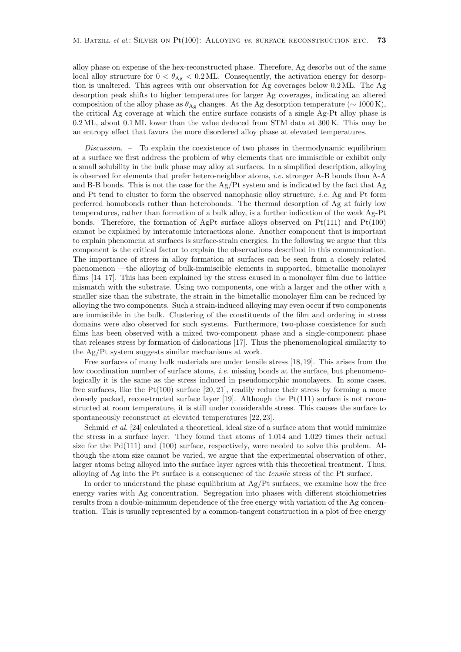alloy phase on expense of the hex-reconstructed phase. Therefore, Ag desorbs out of the same local alloy structure for  $0 < \theta_{\text{Ag}} < 0.2 \text{ ML}$ . Consequently, the activation energy for desorption is unaltered. This agrees with our observation for Ag coverages below 0.2 ML. The Ag desorption peak shifts to higher temperatures for larger Ag coverages, indicating an altered composition of the alloy phase as  $\theta_{\text{Ag}}$  changes. At the Ag desorption temperature ( $\sim 1000 \text{ K}$ ), the critical Ag coverage at which the entire surface consists of a single Ag-Pt alloy phase is 0.2 ML, about 0.1 ML lower than the value deduced from STM data at 300 K. This may be an entropy effect that favors the more disordered alloy phase at elevated temperatures.

*Discussion. –* To explain the coexistence of two phases in thermodynamic equilibrium at a surface we first address the problem of why elements that are immiscible or exhibit only a small solubility in the bulk phase may alloy at surfaces. In a simplified description, alloying is observed for elements that prefer hetero-neighbor atoms, *i.e.* stronger A-B bonds than A-A and B-B bonds. This is not the case for the Ag/Pt system and is indicated by the fact that Ag and Pt tend to cluster to form the observed nanophasic alloy structure, *i.e.* Ag and Pt form preferred homobonds rather than heterobonds. The thermal desorption of Ag at fairly low temperatures, rather than formation of a bulk alloy, is a further indication of the weak Ag-Pt bonds. Therefore, the formation of AgPt surface alloys observed on  $Pt(111)$  and  $Pt(100)$ cannot be explained by interatomic interactions alone. Another component that is important to explain phenomena at surfaces is surface-strain energies. In the following we argue that this component is the critical factor to explain the observations described in this communication. The importance of stress in alloy formation at surfaces can be seen from a closely related phenomenon —the alloying of bulk-immiscible elements in supported, bimetallic monolayer films [14–17]. This has been explained by the stress caused in a monolayer film due to lattice mismatch with the substrate. Using two components, one with a larger and the other with a smaller size than the substrate, the strain in the bimetallic monolayer film can be reduced by alloying the two components. Such a strain-induced alloying may even occur if two components are immiscible in the bulk. Clustering of the constituents of the film and ordering in stress domains were also observed for such systems. Furthermore, two-phase coexistence for such films has been observed with a mixed two-component phase and a single-component phase that releases stress by formation of dislocations [17]. Thus the phenomenological similarity to the Ag/Pt system suggests similar mechanisms at work.

Free surfaces of many bulk materials are under tensile stress [18, 19]. This arises from the low coordination number of surface atoms, *i.e.* missing bonds at the surface, but phenomenologically it is the same as the stress induced in pseudomorphic monolayers. In some cases, free surfaces, like the  $Pt(100)$  surface [20, 21], readily reduce their stress by forming a more densely packed, reconstructed surface layer [19]. Although the Pt(111) surface is not reconstructed at room temperature, it is still under considerable stress. This causes the surface to spontaneously reconstruct at elevated temperatures [22, 23].

Schmid *et al.* [24] calculated a theoretical, ideal size of a surface atom that would minimize the stress in a surface layer. They found that atoms of 1.014 and 1.029 times their actual size for the Pd(111) and (100) surface, respectively, were needed to solve this problem. Although the atom size cannot be varied, we argue that the experimental observation of other, larger atoms being alloyed into the surface layer agrees with this theoretical treatment. Thus, alloying of Ag into the Pt surface is a consequence of the *tensile* stress of the Pt surface.

In order to understand the phase equilibrium at  $Ag/Pt$  surfaces, we examine how the free energy varies with Ag concentration. Segregation into phases with different stoichiometries results from a double-minimum dependence of the free energy with variation of the Ag concentration. This is usually represented by a common-tangent construction in a plot of free energy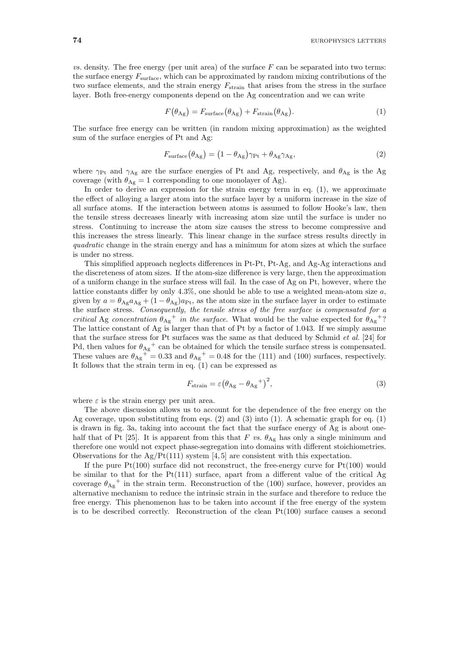*vs.* density. The free energy (per unit area) of the surface  $F$  can be separated into two terms: the surface energy  $F_{\text{surface}}$ , which can be approximated by random mixing contributions of the two surface elements, and the strain energy  $F_{\text{strain}}$  that arises from the stress in the surface layer. Both free-energy components depend on the Ag concentration and we can write

$$
F(\theta_{\text{Ag}}) = F_{\text{surface}}(\theta_{\text{Ag}}) + F_{\text{strain}}(\theta_{\text{Ag}}). \tag{1}
$$

The surface free energy can be written (in random mixing approximation) as the weighted sum of the surface energies of Pt and Ag:

$$
F_{\text{surface}}(\theta_{\text{Ag}}) = (1 - \theta_{\text{Ag}})\gamma_{\text{Pt}} + \theta_{\text{Ag}}\gamma_{\text{Ag}},\tag{2}
$$

where  $\gamma_{Pt}$  and  $\gamma_{Ag}$  are the surface energies of Pt and Ag, respectively, and  $\theta_{Ag}$  is the Ag coverage (with  $\theta_{\text{Ag}} = 1$  corresponding to one monolayer of Ag).

In order to derive an expression for the strain energy term in eq. (1), we approximate the effect of alloying a larger atom into the surface layer by a uniform increase in the size of all surface atoms. If the interaction between atoms is assumed to follow Hooke's law, then the tensile stress decreases linearly with increasing atom size until the surface is under no stress. Continuing to increase the atom size causes the stress to become compressive and this increases the stress linearly. This linear change in the surface stress results directly in *quadratic* change in the strain energy and has a minimum for atom sizes at which the surface is under no stress.

This simplified approach neglects differences in Pt-Pt, Pt-Ag, and Ag-Ag interactions and the discreteness of atom sizes. If the atom-size difference is very large, then the approximation of a uniform change in the surface stress will fail. In the case of Ag on Pt, however, where the lattice constants differ by only 4.3%, one should be able to use a weighted mean-atom size  $a$ , given by  $a = \theta_{Ag}a_{Ag} + (1 - \theta_{Ag})a_{Pt}$ , as the atom size in the surface layer in order to estimate the surface stress. *Consequently, the tensile stress of the free surface is compensated for a critical* Ag *concentration*  $\theta_{\text{Ag}}^+$  *in the surface*. What would be the value expected for  $\theta_{\text{Ag}}^+$ ? The lattice constant of Ag is larger than that of Pt by a factor of 1.043. If we simply assume that the surface stress for Pt surfaces was the same as that deduced by Schmid *et al.* [24] for Pd, then values for  $\theta_{\text{Ag}}^+$  can be obtained for which the tensile surface stress is compensated.<br>These values are  $\theta_{\text{g}}^+$  = 0.22 and  $\theta_{\text{g}}^+$  = 0.48 for the (111) and (100) surfaces remastively. These values are  $\theta_{\text{Ag}}^+ = 0.33$  and  $\theta_{\text{Ag}}^+ = 0.48$  for the (111) and (100) surfaces, respectively. It follows that the strain term in eq. (1) can be expressed as

$$
F_{\text{strain}} = \varepsilon \left(\theta_{\text{Ag}} - \theta_{\text{Ag}}\right)^2,\tag{3}
$$

where  $\varepsilon$  is the strain energy per unit area.

The above discussion allows us to account for the dependence of the free energy on the Ag coverage, upon substituting from eqs.  $(2)$  and  $(3)$  into  $(1)$ . A schematic graph for eq.  $(1)$ is drawn in fig. 3a, taking into account the fact that the surface energy of Ag is about onehalf that of Pt [25]. It is apparent from this that F vs.  $\theta_{\text{Ag}}$  has only a single minimum and therefore one would not expect phase-segregation into domains with different stoichiometries. Observations for the  $Ag/Pt(111)$  system [4, 5] are consistent with this expectation.

If the pure  $Pt(100)$  surface did not reconstruct, the free-energy curve for  $Pt(100)$  would be similar to that for the Pt(111) surface, apart from a different value of the critical Ag coverage  $\theta_{\text{Ag}}^+$  in the strain term. Reconstruction of the (100) surface, however, provides an alternative mechanism to reduce the intrinsic strain in the surface and therefore to reduce the free energy. This phenomenon has to be taken into account if the free energy of the system is to be described correctly. Reconstruction of the clean  $Pt(100)$  surface causes a second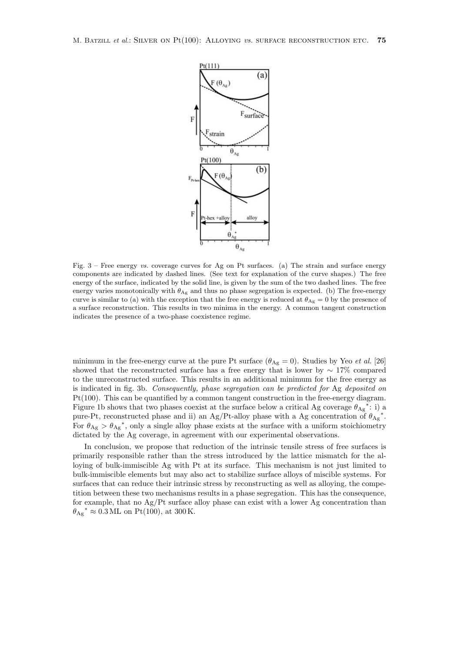

Fig. 3 – Free energy vs. coverage curves for Ag on Pt surfaces. (a) The strain and surface energy components are indicated by dashed lines. (See text for explanation of the curve shapes.) The free energy of the surface, indicated by the solid line, is given by the sum of the two dashed lines. The free energy varies monotonically with  $\theta_{\text{Ag}}$  and thus no phase segregation is expected. (b) The free-energy curve is similar to (a) with the exception that the free energy is reduced at  $\theta_{\text{Ag}} = 0$  by the presence of a surface reconstruction. This results in two minima in the energy. A common tangent construction indicates the presence of a two-phase coexistence regime.

minimum in the free-energy curve at the pure Pt surface  $(\theta_{\text{Ag}} = 0)$ . Studies by Yeo *et al.* [26] showed that the reconstructed surface has a free energy that is lower by  $\sim 17\%$  compared to the unreconstructed surface. This results in an additional minimum for the free energy as is indicated in fig. 3b. *Consequently, phase segregation can be predicted for* Ag *deposited on* Pt(100). This can be quantified by a common tangent construction in the free-energy diagram. Figure 1b shows that two phases coexist at the surface below a critical Ag coverage  $\theta_{\text{Ag}}^*$ : i) a pure-Pt, reconstructed phase and ii) an Ag/Pt-alloy phase with a Ag concentration of  $\theta_{\text{Ag}}^*$ . For  $\theta_{\text{Ag}} > \theta_{\text{Ag}}^*$ , only a single alloy phase exists at the surface with a uniform stoichiometry dictated by the Ag coverage, in agreement with our experimental observations.

In conclusion, we propose that reduction of the intrinsic tensile stress of free surfaces is primarily responsible rather than the stress introduced by the lattice mismatch for the alloying of bulk-immiscible Ag with Pt at its surface. This mechanism is not just limited to bulk-immiscible elements but may also act to stabilize surface alloys of miscible systems. For surfaces that can reduce their intrinsic stress by reconstructing as well as alloying, the competition between these two mechanisms results in a phase segregation. This has the consequence, for example, that no Ag/Pt surface alloy phase can exist with a lower Ag concentration than  $\theta_{\text{Ag}}^* \approx 0.3 \text{ ML on Pt}(100)$ , at 300 K.